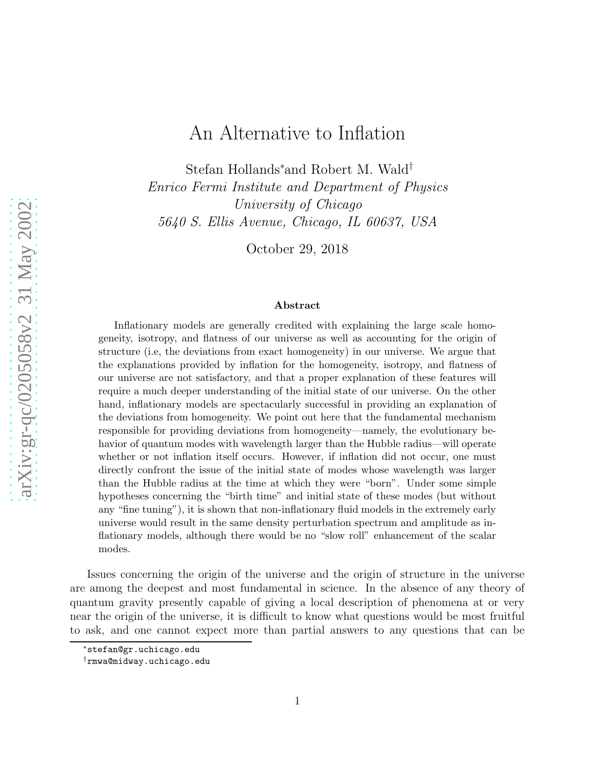## An Alternative to Inflation

Stefan Hollands∗and Robert M. Wald†

Enrico Fermi Institute and Department of Physics University of Chicago 5640 S. Ellis Avenue, Chicago, IL 60637, USA

October 29, 2018

## Abstract

Inflationary models are generally credited with explaining the large scale homogeneity, isotropy, and flatness of our universe as well as accounting for the origin of structure (i.e, the deviations from exact homogeneity) in our universe. We argue that the explanations provided by inflation for the homogeneity, isotropy, and flatness of our universe are not satisfactory, and that a proper explanation of these features will require a much deeper understanding of the initial state of our universe. On the other hand, inflationary models are spectacularly successful in providing an explanation of the deviations from homogeneity. We point out here that the fundamental mechanism responsible for providing deviations from homogeneity—namely, the evolutionary behavior of quantum modes with wavelength larger than the Hubble radius—will operate whether or not inflation itself occurs. However, if inflation did not occur, one must directly confront the issue of the initial state of modes whose wavelength was larger than the Hubble radius at the time at which they were "born". Under some simple hypotheses concerning the "birth time" and initial state of these modes (but without any "fine tuning"), it is shown that non-inflationary fluid models in the extremely early universe would result in the same density perturbation spectrum and amplitude as inflationary models, although there would be no "slow roll" enhancement of the scalar modes.

Issues concerning the origin of the universe and the origin of structure in the universe are among the deepest and most fundamental in science. In the absence of any theory of quantum gravity presently capable of giving a local description of phenomena at or very near the origin of the universe, it is difficult to know what questions would be most fruitful to ask, and one cannot expect more than partial answers to any questions that can be

<sup>∗</sup>stefan@gr.uchicago.edu

<sup>†</sup>rmwa@midway.uchicago.edu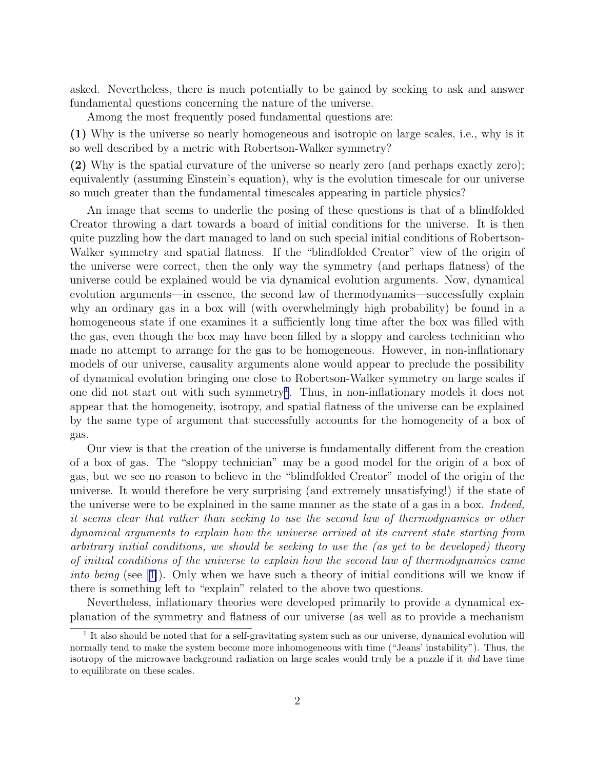asked. Nevertheless, there is much potentially to be gained by seeking to ask and answer fundamental questions concerning the nature of the universe.

Among the most frequently posed fundamental questions are:

(1) Why is the universe so nearly homogeneous and isotropic on large scales, i.e., why is it so well described by a metric with Robertson-Walker symmetry?

(2) Why is the spatial curvature of the universe so nearly zero (and perhaps exactly zero); equivalently (assuming Einstein's equation), why is the evolution timescale for our universe so much greater than the fundamental timescales appearing in particle physics?

An image that seems to underlie the posing of these questions is that of a blindfolded Creator throwing a dart towards a board of initial conditions for the universe. It is then quite puzzling how the dart managed to land on such special initial conditions of Robertson-Walker symmetry and spatial flatness. If the "blindfolded Creator" view of the origin of the universe were correct, then the only way the symmetry (and perhaps flatness) of the universe could be explained would be via dynamical evolution arguments. Now, dynamical evolution arguments—in essence, the second law of thermodynamics—successfully explain why an ordinary gas in a box will (with overwhelmingly high probability) be found in a homogeneous state if one examines it a sufficiently long time after the box was filled with the gas, even though the box may have been filled by a sloppy and careless technician who made no attempt to arrange for the gas to be homogeneous. However, in non-inflationary models of our universe, causality arguments alone would appear to preclude the possibility of dynamical evolution bringing one close to Robertson-Walker symmetry on large scales if one did not start out with such symmetry<sup>1</sup>. Thus, in non-inflationary models it does not appear that the homogeneity, isotropy, and spatial flatness of the universe can be explained by the same type of argument that successfully accounts for the homogeneity of a box of gas.

Our view is that the creation of the universe is fundamentally different from the creation of a box of gas. The "sloppy technician" may be a good model for the origin of a box of gas, but we see no reason to believe in the "blindfolded Creator" model of the origin of the universe. It would therefore be very surprising (and extremely unsatisfying!) if the state of the universe were to be explained in the same manner as the state of a gas in a box. *Indeed*, it seems clear that rather than seeking to use the second law of thermodynamics or other dynamical arguments to explain how the universe arrived at its current state starting from arbitrary initial conditions, we should be seeking to use the (as yet to be developed) theory of initial conditions of the universe to explain how the second law of thermodynamics came *intobeing* (see [[1\]](#page-10-0)). Only when we have such a theory of initial conditions will we know if there is something left to "explain" related to the above two questions.

Nevertheless, inflationary theories were developed primarily to provide a dynamical explanation of the symmetry and flatness of our universe (as well as to provide a mechanism

<sup>&</sup>lt;sup>1</sup> It also should be noted that for a self-gravitating system such as our universe, dynamical evolution will normally tend to make the system become more inhomogeneous with time ("Jeans' instability"). Thus, the isotropy of the microwave background radiation on large scales would truly be a puzzle if it did have time to equilibrate on these scales.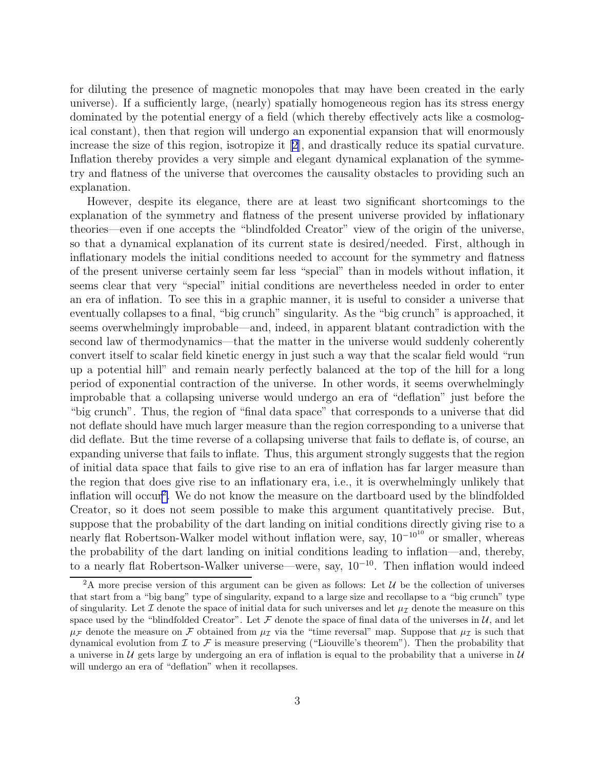for diluting the presence of magnetic monopoles that may have been created in the early universe). If a sufficiently large, (nearly) spatially homogeneous region has its stress energy dominated by the potential energy of a field (which thereby effectively acts like a cosmological constant), then that region will undergo an exponential expansion that will enormously increase the size of this region, isotropize it[[2\]](#page-10-0), and drastically reduce its spatial curvature. Inflation thereby provides a very simple and elegant dynamical explanation of the symmetry and flatness of the universe that overcomes the causality obstacles to providing such an explanation.

However, despite its elegance, there are at least two significant shortcomings to the explanation of the symmetry and flatness of the present universe provided by inflationary theories—even if one accepts the "blindfolded Creator" view of the origin of the universe, so that a dynamical explanation of its current state is desired/needed. First, although in inflationary models the initial conditions needed to account for the symmetry and flatness of the present universe certainly seem far less "special" than in models without inflation, it seems clear that very "special" initial conditions are nevertheless needed in order to enter an era of inflation. To see this in a graphic manner, it is useful to consider a universe that eventually collapses to a final, "big crunch" singularity. As the "big crunch" is approached, it seems overwhelmingly improbable—and, indeed, in apparent blatant contradiction with the second law of thermodynamics—that the matter in the universe would suddenly coherently convert itself to scalar field kinetic energy in just such a way that the scalar field would "run up a potential hill" and remain nearly perfectly balanced at the top of the hill for a long period of exponential contraction of the universe. In other words, it seems overwhelmingly improbable that a collapsing universe would undergo an era of "deflation" just before the "big crunch". Thus, the region of "final data space" that corresponds to a universe that did not deflate should have much larger measure than the region corresponding to a universe that did deflate. But the time reverse of a collapsing universe that fails to deflate is, of course, an expanding universe that fails to inflate. Thus, this argument strongly suggests that the region of initial data space that fails to give rise to an era of inflation has far larger measure than the region that does give rise to an inflationary era, i.e., it is overwhelmingly unlikely that inflation will occur<sup>2</sup>. We do not know the measure on the dartboard used by the blindfolded Creator, so it does not seem possible to make this argument quantitatively precise. But, suppose that the probability of the dart landing on initial conditions directly giving rise to a nearly flat Robertson-Walker model without inflation were, say,  $10^{-10^{10}}$  or smaller, whereas the probability of the dart landing on initial conditions leading to inflation—and, thereby, to a nearly flat Robertson-Walker universe—were, say,  $10^{-10}$ . Then inflation would indeed

<sup>&</sup>lt;sup>2</sup>A more precise version of this argument can be given as follows: Let  $\mathcal{U}$  be the collection of universes that start from a "big bang" type of singularity, expand to a large size and recollapse to a "big crunch" type of singularity. Let  $\mathcal I$  denote the space of initial data for such universes and let  $\mu_{\mathcal I}$  denote the measure on this space used by the "blindfolded Creator". Let  $\mathcal F$  denote the space of final data of the universes in  $\mathcal U$ , and let  $\mu_{\mathcal{F}}$  denote the measure on  $\mathcal F$  obtained from  $\mu_{\mathcal{I}}$  via the "time reversal" map. Suppose that  $\mu_{\mathcal{I}}$  is such that dynamical evolution from  $\mathcal I$  to  $\mathcal F$  is measure preserving ("Liouville's theorem"). Then the probability that a universe in  $U$  gets large by undergoing an era of inflation is equal to the probability that a universe in  $U$ will undergo an era of "deflation" when it recollapses.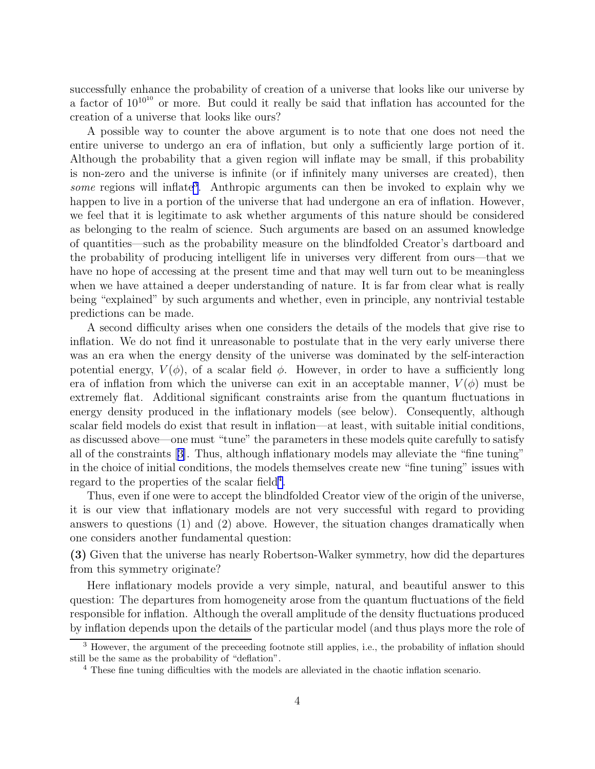successfully enhance the probability of creation of a universe that looks like our universe by a factor of  $10^{10^{10}}$  or more. But could it really be said that inflation has accounted for the creation of a universe that looks like ours?

A possible way to counter the above argument is to note that one does not need the entire universe to undergo an era of inflation, but only a sufficiently large portion of it. Although the probability that a given region will inflate may be small, if this probability is non-zero and the universe is infinite (or if infinitely many universes are created), then some regions will inflate<sup>3</sup>. Anthropic arguments can then be invoked to explain why we happen to live in a portion of the universe that had undergone an era of inflation. However, we feel that it is legitimate to ask whether arguments of this nature should be considered as belonging to the realm of science. Such arguments are based on an assumed knowledge of quantities—such as the probability measure on the blindfolded Creator's dartboard and the probability of producing intelligent life in universes very different from ours—that we have no hope of accessing at the present time and that may well turn out to be meaningless when we have attained a deeper understanding of nature. It is far from clear what is really being "explained" by such arguments and whether, even in principle, any nontrivial testable predictions can be made.

A second difficulty arises when one considers the details of the models that give rise to inflation. We do not find it unreasonable to postulate that in the very early universe there was an era when the energy density of the universe was dominated by the self-interaction potential energy,  $V(\phi)$ , of a scalar field  $\phi$ . However, in order to have a sufficiently long era of inflation from which the universe can exit in an acceptable manner,  $V(\phi)$  must be extremely flat. Additional significant constraints arise from the quantum fluctuations in energy density produced in the inflationary models (see below). Consequently, although scalar field models do exist that result in inflation—at least, with suitable initial conditions, as discussed above—one must "tune" the parameters in these models quite carefully to satisfy all of the constraints[[3\]](#page-10-0). Thus, although inflationary models may alleviate the "fine tuning" in the choice of initial conditions, the models themselves create new "fine tuning" issues with regard to the properties of the scalar field<sup>4</sup>.

Thus, even if one were to accept the blindfolded Creator view of the origin of the universe, it is our view that inflationary models are not very successful with regard to providing answers to questions (1) and (2) above. However, the situation changes dramatically when one considers another fundamental question:

(3) Given that the universe has nearly Robertson-Walker symmetry, how did the departures from this symmetry originate?

Here inflationary models provide a very simple, natural, and beautiful answer to this question: The departures from homogeneity arose from the quantum fluctuations of the field responsible for inflation. Although the overall amplitude of the density fluctuations produced by inflation depends upon the details of the particular model (and thus plays more the role of

<sup>&</sup>lt;sup>3</sup> However, the argument of the preceeding footnote still applies, i.e., the probability of inflation should still be the same as the probability of "deflation".

<sup>4</sup> These fine tuning difficulties with the models are alleviated in the chaotic inflation scenario.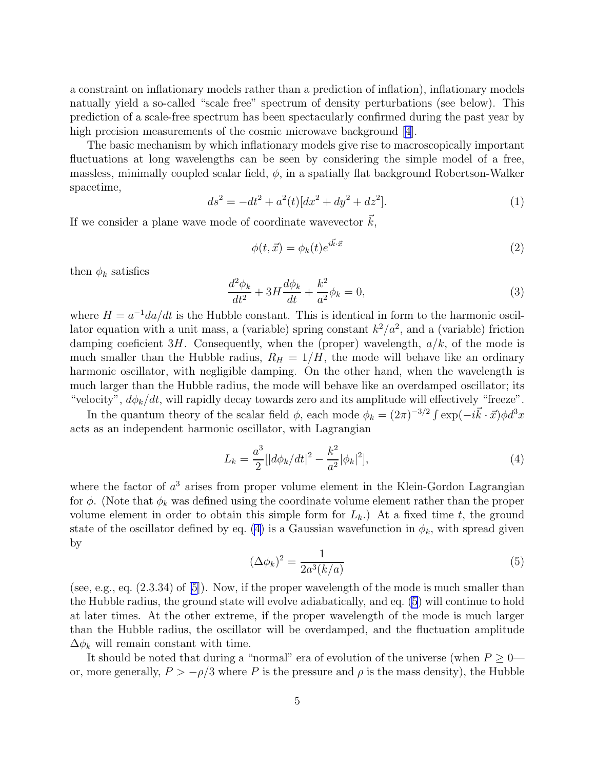<span id="page-4-0"></span>a constraint on inflationary models rather than a prediction of inflation), inflationary models natually yield a so-called "scale free" spectrum of density perturbations (see below). This prediction of a scale-free spectrum has been spectacularly confirmed during the past year by high precision measurements of the cosmic microwave background [\[4](#page-10-0)].

The basic mechanism by which inflationary models give rise to macroscopically important fluctuations at long wavelengths can be seen by considering the simple model of a free, massless, minimally coupled scalar field,  $\phi$ , in a spatially flat background Robertson-Walker spacetime,

$$
ds^{2} = -dt^{2} + a^{2}(t)[dx^{2} + dy^{2} + dz^{2}].
$$
\n(1)

If we consider a plane wave mode of coordinate wavevector  $\vec{k}$ ,

$$
\phi(t, \vec{x}) = \phi_k(t)e^{i\vec{k}\cdot\vec{x}} \tag{2}
$$

then  $\phi_k$  satisfies

$$
\frac{d^2\phi_k}{dt^2} + 3H\frac{d\phi_k}{dt} + \frac{k^2}{a^2}\phi_k = 0,
$$
\n(3)

where  $H = a^{-1}da/dt$  is the Hubble constant. This is identical in form to the harmonic oscillator equation with a unit mass, a (variable) spring constant  $k^2/a^2$ , and a (variable) friction damping coeficient 3H. Consequently, when the (proper) wavelength,  $a/k$ , of the mode is much smaller than the Hubble radius,  $R_H = 1/H$ , the mode will behave like an ordinary harmonic oscillator, with negligible damping. On the other hand, when the wavelength is much larger than the Hubble radius, the mode will behave like an overdamped oscillator; its "velocity",  $d\phi_k/dt$ , will rapidly decay towards zero and its amplitude will effectively "freeze".

In the quantum theory of the scalar field  $\phi$ , each mode  $\phi_k = (2\pi)^{-3/2} \int \exp(-i\vec{k} \cdot \vec{x}) \phi d^3x$ acts as an independent harmonic oscillator, with Lagrangian

$$
L_k = \frac{a^3}{2} [ |d\phi_k/dt|^2 - \frac{k^2}{a^2} |\phi_k|^2 ], \tag{4}
$$

where the factor of  $a^3$  arises from proper volume element in the Klein-Gordon Lagrangian for  $\phi$ . (Note that  $\phi_k$  was defined using the coordinate volume element rather than the proper volume element in order to obtain this simple form for  $L_k$ .) At a fixed time t, the ground state of the oscillator defined by eq. (4) is a Gaussian wavefunction in  $\phi_k$ , with spread given by

$$
(\Delta \phi_k)^2 = \frac{1}{2a^3(k/a)}\tag{5}
$$

(see, e.g., eq. (2.3.34) of [\[5](#page-10-0)]). Now, if the proper wavelength of the mode is much smaller than the Hubble radius, the ground state will evolve adiabatically, and eq. (5) will continue to hold at later times. At the other extreme, if the proper wavelength of the mode is much larger than the Hubble radius, the oscillator will be overdamped, and the fluctuation amplitude  $\Delta \phi_k$  will remain constant with time.

It should be noted that during a "normal" era of evolution of the universe (when  $P \geq 0$  or, more generally,  $P > -\rho/3$  where P is the pressure and  $\rho$  is the mass density), the Hubble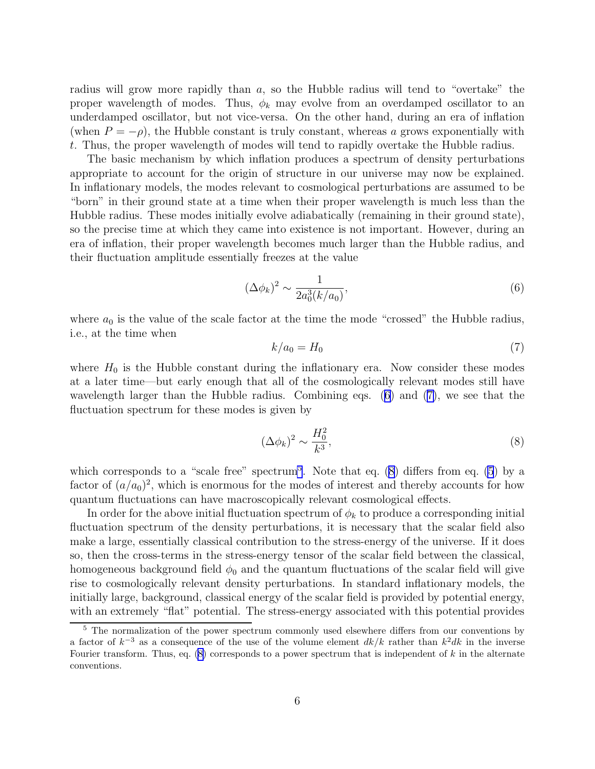radius will grow more rapidly than a, so the Hubble radius will tend to "overtake" the proper wavelength of modes. Thus,  $\phi_k$  may evolve from an overdamped oscillator to an underdamped oscillator, but not vice-versa. On the other hand, during an era of inflation (when  $P = -\rho$ ), the Hubble constant is truly constant, whereas a grows exponentially with t. Thus, the proper wavelength of modes will tend to rapidly overtake the Hubble radius.

The basic mechanism by which inflation produces a spectrum of density perturbations appropriate to account for the origin of structure in our universe may now be explained. In inflationary models, the modes relevant to cosmological perturbations are assumed to be "born" in their ground state at a time when their proper wavelength is much less than the Hubble radius. These modes initially evolve adiabatically (remaining in their ground state), so the precise time at which they came into existence is not important. However, during an era of inflation, their proper wavelength becomes much larger than the Hubble radius, and their fluctuation amplitude essentially freezes at the value

$$
(\Delta \phi_k)^2 \sim \frac{1}{2a_0^3(k/a_0)},
$$
\n(6)

where  $a_0$  is the value of the scale factor at the time the mode "crossed" the Hubble radius, i.e., at the time when

$$
k/a_0 = H_0 \tag{7}
$$

where  $H_0$  is the Hubble constant during the inflationary era. Now consider these modes at a later time—but early enough that all of the cosmologically relevant modes still have wavelength larger than the Hubble radius. Combining eqs. (6) and (7), we see that the fluctuation spectrum for these modes is given by

$$
(\Delta \phi_k)^2 \sim \frac{H_0^2}{k^3},\tag{8}
$$

which corresponds to a "scale free" spectrum<sup>5</sup>. Note that eq.  $(8)$  differs from eq.  $(5)$  by a factor of  $(a/a_0)^2$ , which is enormous for the modes of interest and thereby accounts for how quantum fluctuations can have macroscopically relevant cosmological effects.

In order for the above initial fluctuation spectrum of  $\phi_k$  to produce a corresponding initial fluctuation spectrum of the density perturbations, it is necessary that the scalar field also make a large, essentially classical contribution to the stress-energy of the universe. If it does so, then the cross-terms in the stress-energy tensor of the scalar field between the classical, homogeneous background field  $\phi_0$  and the quantum fluctuations of the scalar field will give rise to cosmologically relevant density perturbations. In standard inflationary models, the initially large, background, classical energy of the scalar field is provided by potential energy, with an extremely "flat" potential. The stress-energy associated with this potential provides

<sup>&</sup>lt;sup>5</sup> The normalization of the power spectrum commonly used elsewhere differs from our conventions by a factor of  $k^{-3}$  as a consequence of the use of the volume element  $dk/k$  rather than  $k^2 dk$  in the inverse Fourier transform. Thus, eq.  $(8)$  corresponds to a power spectrum that is independent of k in the alternate conventions.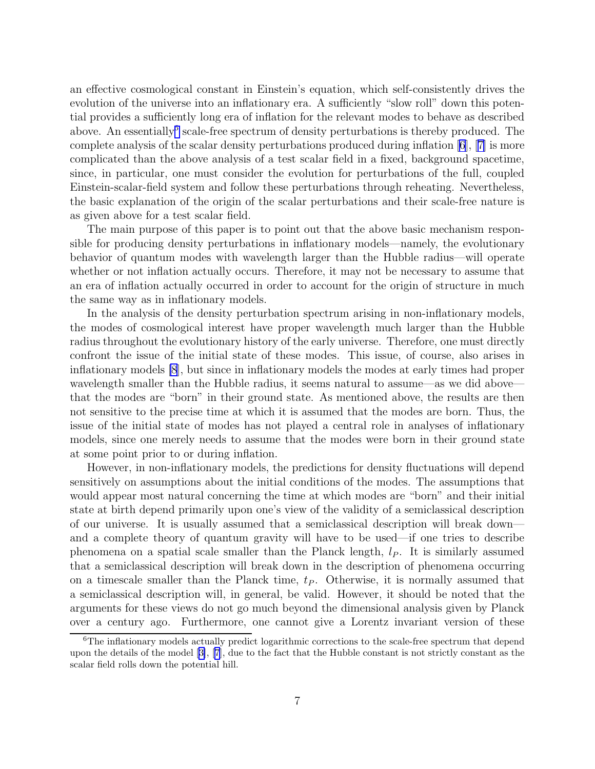an effective cosmological constant in Einstein's equation, which self-consistently drives the evolution of the universe into an inflationary era. A sufficiently "slow roll" down this potential provides a sufficiently long era of inflation for the relevant modes to behave as described above. An essentially<sup>6</sup> scale-free spectrum of density perturbations is thereby produced. The complete analysis of the scalar density perturbations produced during inflation [\[6](#page-10-0)],[[7\]](#page-10-0) is more complicated than the above analysis of a test scalar field in a fixed, background spacetime, since, in particular, one must consider the evolution for perturbations of the full, coupled Einstein-scalar-field system and follow these perturbations through reheating. Nevertheless, the basic explanation of the origin of the scalar perturbations and their scale-free nature is as given above for a test scalar field.

The main purpose of this paper is to point out that the above basic mechanism responsible for producing density perturbations in inflationary models—namely, the evolutionary behavior of quantum modes with wavelength larger than the Hubble radius—will operate whether or not inflation actually occurs. Therefore, it may not be necessary to assume that an era of inflation actually occurred in order to account for the origin of structure in much the same way as in inflationary models.

In the analysis of the density perturbation spectrum arising in non-inflationary models, the modes of cosmological interest have proper wavelength much larger than the Hubble radius throughout the evolutionary history of the early universe. Therefore, one must directly confront the issue of the initial state of these modes. This issue, of course, also arises in inflationary models [\[8](#page-10-0)], but since in inflationary models the modes at early times had proper wavelength smaller than the Hubble radius, it seems natural to assume—as we did above that the modes are "born" in their ground state. As mentioned above, the results are then not sensitive to the precise time at which it is assumed that the modes are born. Thus, the issue of the initial state of modes has not played a central role in analyses of inflationary models, since one merely needs to assume that the modes were born in their ground state at some point prior to or during inflation.

However, in non-inflationary models, the predictions for density fluctuations will depend sensitively on assumptions about the initial conditions of the modes. The assumptions that would appear most natural concerning the time at which modes are "born" and their initial state at birth depend primarily upon one's view of the validity of a semiclassical description of our universe. It is usually assumed that a semiclassical description will break down and a complete theory of quantum gravity will have to be used—if one tries to describe phenomena on a spatial scale smaller than the Planck length,  $l_P$ . It is similarly assumed that a semiclassical description will break down in the description of phenomena occurring on a timescale smaller than the Planck time,  $t_P$ . Otherwise, it is normally assumed that a semiclassical description will, in general, be valid. However, it should be noted that the arguments for these views do not go much beyond the dimensional analysis given by Planck over a century ago. Furthermore, one cannot give a Lorentz invariant version of these

 ${}^{6}$ The inflationary models actually predict logarithmic corrections to the scale-free spectrum that depend upon the details of the model[[3\]](#page-10-0), [\[7](#page-10-0)], due to the fact that the Hubble constant is not strictly constant as the scalar field rolls down the potential hill.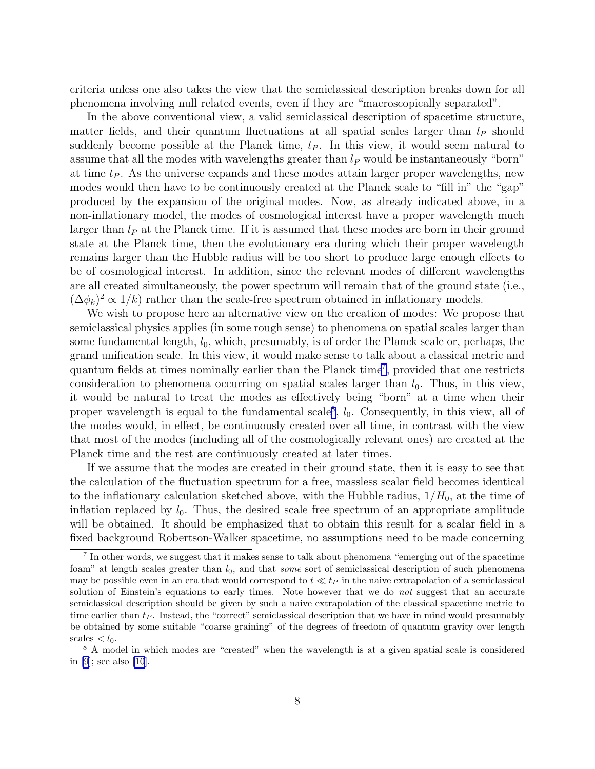criteria unless one also takes the view that the semiclassical description breaks down for all phenomena involving null related events, even if they are "macroscopically separated".

In the above conventional view, a valid semiclassical description of spacetime structure, matter fields, and their quantum fluctuations at all spatial scales larger than  $l<sub>P</sub>$  should suddenly become possible at the Planck time,  $t_P$ . In this view, it would seem natural to assume that all the modes with wavelengths greater than  $l_P$  would be instantaneously "born" at time  $t<sub>P</sub>$ . As the universe expands and these modes attain larger proper wavelengths, new modes would then have to be continuously created at the Planck scale to "fill in" the "gap" produced by the expansion of the original modes. Now, as already indicated above, in a non-inflationary model, the modes of cosmological interest have a proper wavelength much larger than  $l<sub>P</sub>$  at the Planck time. If it is assumed that these modes are born in their ground state at the Planck time, then the evolutionary era during which their proper wavelength remains larger than the Hubble radius will be too short to produce large enough effects to be of cosmological interest. In addition, since the relevant modes of different wavelengths are all created simultaneously, the power spectrum will remain that of the ground state (i.e.,  $(\Delta \phi_k)^2 \propto 1/k$ ) rather than the scale-free spectrum obtained in inflationary models.

We wish to propose here an alternative view on the creation of modes: We propose that semiclassical physics applies (in some rough sense) to phenomena on spatial scales larger than some fundamental length,  $l_0$ , which, presumably, is of order the Planck scale or, perhaps, the grand unification scale. In this view, it would make sense to talk about a classical metric and quantum fields at times nominally earlier than the Planck time<sup>7</sup> , provided that one restricts consideration to phenomena occurring on spatial scales larger than  $l_0$ . Thus, in this view, it would be natural to treat the modes as effectively being "born" at a time when their proper wavelength is equal to the fundamental scale<sup>8</sup>,  $l_0$ . Consequently, in this view, all of the modes would, in effect, be continuously created over all time, in contrast with the view that most of the modes (including all of the cosmologically relevant ones) are created at the Planck time and the rest are continuously created at later times.

If we assume that the modes are created in their ground state, then it is easy to see that the calculation of the fluctuation spectrum for a free, massless scalar field becomes identical to the inflationary calculation sketched above, with the Hubble radius,  $1/H_0$ , at the time of inflation replaced by  $l_0$ . Thus, the desired scale free spectrum of an appropriate amplitude will be obtained. It should be emphasized that to obtain this result for a scalar field in a fixed background Robertson-Walker spacetime, no assumptions need to be made concerning

<sup>&</sup>lt;sup>7</sup> In other words, we suggest that it makes sense to talk about phenomena "emerging out of the spacetime foam" at length scales greater than  $l_0$ , and that some sort of semiclassical description of such phenomena may be possible even in an era that would correspond to  $t \ll t_P$  in the naive extrapolation of a semiclassical solution of Einstein's equations to early times. Note however that we do not suggest that an accurate semiclassical description should be given by such a naive extrapolation of the classical spacetime metric to time earlier than  $t_P$ . Instead, the "correct" semiclassical description that we have in mind would presumably be obtained by some suitable "coarse graining" of the degrees of freedom of quantum gravity over length scales  $\lt l_0$ .

<sup>8</sup> A model in which modes are "created" when the wavelength is at a given spatial scale is considered in [\[9](#page-11-0)]; see also [\[10](#page-11-0)].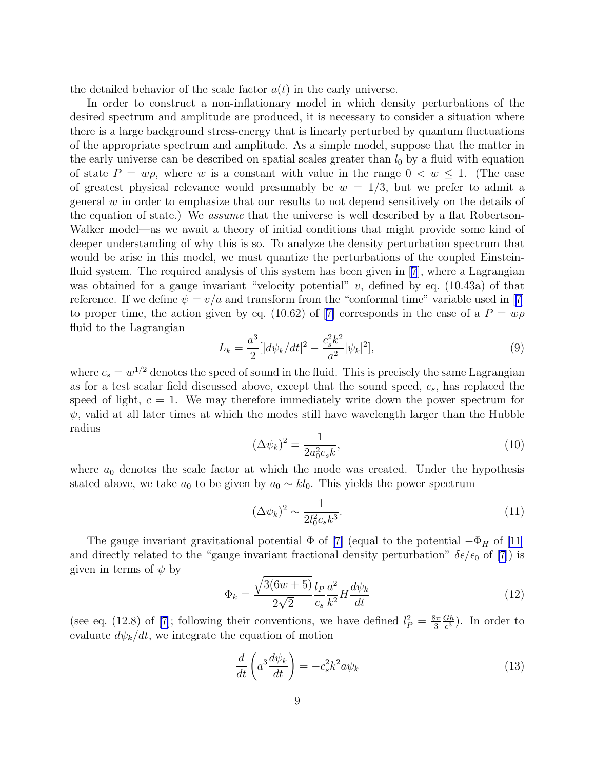<span id="page-8-0"></span>the detailed behavior of the scale factor  $a(t)$  in the early universe.

In order to construct a non-inflationary model in which density perturbations of the desired spectrum and amplitude are produced, it is necessary to consider a situation where there is a large background stress-energy that is linearly perturbed by quantum fluctuations of the appropriate spectrum and amplitude. As a simple model, suppose that the matter in the early universe can be described on spatial scales greater than  $l_0$  by a fluid with equation of state  $P = w\rho$ , where w is a constant with value in the range  $0 < w \leq 1$ . (The case of greatest physical relevance would presumably be  $w = 1/3$ , but we prefer to admit a general  $w$  in order to emphasize that our results to not depend sensitively on the details of the equation of state.) We assume that the universe is well described by a flat Robertson-Walker model—as we await a theory of initial conditions that might provide some kind of deeper understanding of why this is so. To analyze the density perturbation spectrum that would be arise in this model, we must quantize the perturbations of the coupled Einsteinfluid system. The required analysis of this system has been given in[[7](#page-10-0)], where a Lagrangian was obtained for a gauge invariant "velocity potential"  $v$ , defined by eq. (10.43a) of that reference.If we define  $\psi = v/a$  and transform from the "conformal time" variable used in [[7\]](#page-10-0) toproper time, the action given by eq. (10.62) of [[7\]](#page-10-0) corresponds in the case of a  $P = w\rho$ fluid to the Lagrangian

$$
L_k = \frac{a^3}{2} [ |d\psi_k/dt|^2 - \frac{c_s^2 k^2}{a^2} |\psi_k|^2 ], \tag{9}
$$

where  $c_s = w^{1/2}$  denotes the speed of sound in the fluid. This is precisely the same Lagrangian as for a test scalar field discussed above, except that the sound speed,  $c_s$ , has replaced the speed of light,  $c = 1$ . We may therefore immediately write down the power spectrum for  $\psi$ , valid at all later times at which the modes still have wavelength larger than the Hubble radius

$$
(\Delta \psi_k)^2 = \frac{1}{2a_0^2 c_s k},\tag{10}
$$

where  $a_0$  denotes the scale factor at which the mode was created. Under the hypothesis stated above, we take  $a_0$  to be given by  $a_0 \sim kl_0$ . This yields the power spectrum

$$
(\Delta \psi_k)^2 \sim \frac{1}{2l_0^2 c_s k^3}.\tag{11}
$$

Thegauge invariant gravitational potential  $\Phi$  of [[7\]](#page-10-0) (equal to the potential  $-\Phi_H$  of [[11\]](#page-11-0) and directly related to the "gauge invariant fractional density perturbation"  $\delta \epsilon / \epsilon_0$  of [\[7](#page-10-0)]) is given in terms of  $\psi$  by

$$
\Phi_k = \frac{\sqrt{3(6w+5)}}{2\sqrt{2}} \frac{l_P}{c_s} \frac{a^2}{k^2} H \frac{d\psi_k}{dt}
$$
\n(12)

(see eq. (12.8) of [\[7](#page-10-0)]; following their conventions, we have defined  $l_P^2 = \frac{8\pi}{3}$ 3  $G\hbar$  $\frac{G\hbar}{c^3}$ ). In order to evaluate  $d\psi_k/dt$ , we integrate the equation of motion

$$
\frac{d}{dt}\left(a^3\frac{d\psi_k}{dt}\right) = -c_s^2k^2a\psi_k\tag{13}
$$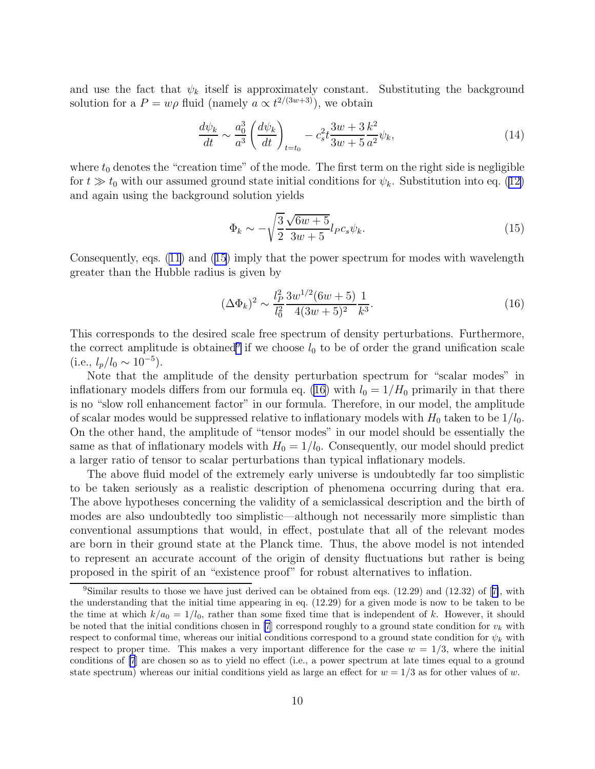and use the fact that  $\psi_k$  itself is approximately constant. Substituting the background solution for a  $P = w\rho$  fluid (namely  $a \propto t^{2/(3w+3)}$ ), we obtain

$$
\frac{d\psi_k}{dt} \sim \frac{a_0^3}{a^3} \left(\frac{d\psi_k}{dt}\right)_{t=t_0} - c_s^2 t \frac{3w + 3}{3w + 5} \frac{k^2}{a^2} \psi_k,\tag{14}
$$

where  $t_0$  denotes the "creation time" of the mode. The first term on the right side is negligible for $t \gg t_0$  with our assumed ground state initial conditions for  $\psi_k$ . Substitution into eq. ([12\)](#page-8-0) and again using the background solution yields

$$
\Phi_k \sim -\sqrt{\frac{3}{2}} \frac{\sqrt{6w+5}}{3w+5} l_P c_s \psi_k.
$$
\n(15)

Consequently, eqs. [\(11\)](#page-8-0) and (15) imply that the power spectrum for modes with wavelength greater than the Hubble radius is given by

$$
(\Delta \Phi_k)^2 \sim \frac{l_P^2}{l_0^2} \frac{3w^{1/2}(6w+5)}{4(3w+5)^2} \frac{1}{k^3}.
$$
\n(16)

This corresponds to the desired scale free spectrum of density perturbations. Furthermore, the correct amplitude is obtained<sup>9</sup> if we choose  $l_0$  to be of order the grand unification scale (i.e.,  $l_p/l_0 \sim 10^{-5}$ ).

Note that the amplitude of the density perturbation spectrum for "scalar modes" in inflationary models differs from our formula eq. (16) with  $l_0 = 1/H_0$  primarily in that there is no "slow roll enhancement factor" in our formula. Therefore, in our model, the amplitude of scalar modes would be suppressed relative to inflationary models with  $H_0$  taken to be  $1/l_0$ . On the other hand, the amplitude of "tensor modes" in our model should be essentially the same as that of inflationary models with  $H_0 = 1/l_0$ . Consequently, our model should predict a larger ratio of tensor to scalar perturbations than typical inflationary models.

The above fluid model of the extremely early universe is undoubtedly far too simplistic to be taken seriously as a realistic description of phenomena occurring during that era. The above hypotheses concerning the validity of a semiclassical description and the birth of modes are also undoubtedly too simplistic—although not necessarily more simplistic than conventional assumptions that would, in effect, postulate that all of the relevant modes are born in their ground state at the Planck time. Thus, the above model is not intended to represent an accurate account of the origin of density fluctuations but rather is being proposed in the spirit of an "existence proof" for robust alternatives to inflation.

<sup>&</sup>lt;sup>9</sup>Similarresults to those we have just derived can be obtained from eqs.  $(12.29)$  and  $(12.32)$  of [[7\]](#page-10-0), with the understanding that the initial time appearing in eq. (12.29) for a given mode is now to be taken to be the time at which  $k/a_0 = 1/l_0$ , rather than some fixed time that is independent of k. However, it should be noted that the initial conditions chosen in [\[7](#page-10-0)] correspond roughly to a ground state condition for  $v_k$  with respect to conformal time, whereas our initial conditions correspond to a ground state condition for  $\psi_k$  with respect to proper time. This makes a very important difference for the case  $w = 1/3$ , where the initial conditions of [\[7](#page-10-0)] are chosen so as to yield no effect (i.e., a power spectrum at late times equal to a ground state spectrum) whereas our initial conditions yield as large an effect for  $w = 1/3$  as for other values of w.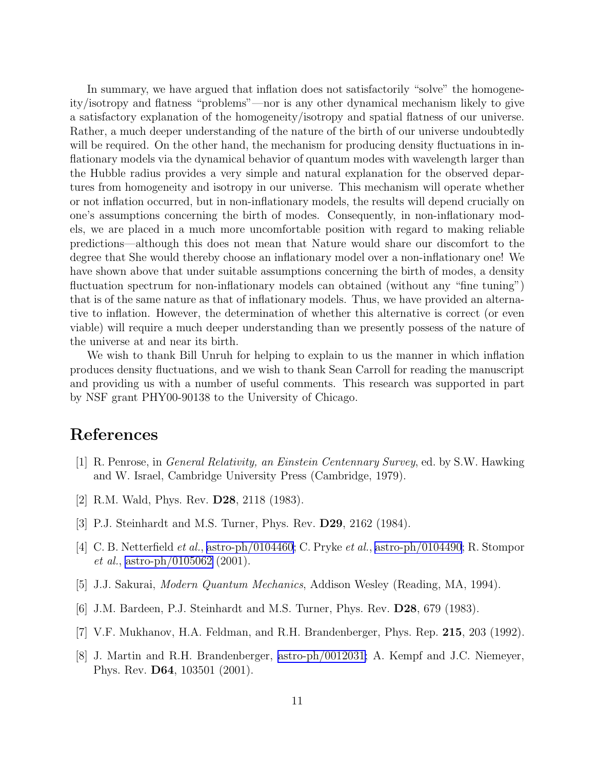<span id="page-10-0"></span>In summary, we have argued that inflation does not satisfactorily "solve" the homogeneity/isotropy and flatness "problems"—nor is any other dynamical mechanism likely to give a satisfactory explanation of the homogeneity/isotropy and spatial flatness of our universe. Rather, a much deeper understanding of the nature of the birth of our universe undoubtedly will be required. On the other hand, the mechanism for producing density fluctuations in inflationary models via the dynamical behavior of quantum modes with wavelength larger than the Hubble radius provides a very simple and natural explanation for the observed departures from homogeneity and isotropy in our universe. This mechanism will operate whether or not inflation occurred, but in non-inflationary models, the results will depend crucially on one's assumptions concerning the birth of modes. Consequently, in non-inflationary models, we are placed in a much more uncomfortable position with regard to making reliable predictions—although this does not mean that Nature would share our discomfort to the degree that She would thereby choose an inflationary model over a non-inflationary one! We have shown above that under suitable assumptions concerning the birth of modes, a density fluctuation spectrum for non-inflationary models can obtained (without any "fine tuning") that is of the same nature as that of inflationary models. Thus, we have provided an alternative to inflation. However, the determination of whether this alternative is correct (or even viable) will require a much deeper understanding than we presently possess of the nature of the universe at and near its birth.

We wish to thank Bill Unruh for helping to explain to us the manner in which inflation produces density fluctuations, and we wish to thank Sean Carroll for reading the manuscript and providing us with a number of useful comments. This research was supported in part by NSF grant PHY00-90138 to the University of Chicago.

## References

- [1] R. Penrose, in General Relativity, an Einstein Centennary Survey, ed. by S.W. Hawking and W. Israel, Cambridge University Press (Cambridge, 1979).
- [2] R.M. Wald, Phys. Rev. D28, 2118 (1983).
- [3] P.J. Steinhardt and M.S. Turner, Phys. Rev. D29, 2162 (1984).
- [4] C. B. Netterfield et al., [astro-ph/0104460](http://arxiv.org/abs/astro-ph/0104460); C. Pryke et al., [astro-ph/0104490](http://arxiv.org/abs/astro-ph/0104490); R. Stompor et al., [astro-ph/0105062](http://arxiv.org/abs/astro-ph/0105062) (2001).
- [5] J.J. Sakurai, Modern Quantum Mechanics, Addison Wesley (Reading, MA, 1994).
- [6] J.M. Bardeen, P.J. Steinhardt and M.S. Turner, Phys. Rev. D28, 679 (1983).
- [7] V.F. Mukhanov, H.A. Feldman, and R.H. Brandenberger, Phys. Rep. 215, 203 (1992).
- [8] J. Martin and R.H. Brandenberger, [astro-ph/0012031;](http://arxiv.org/abs/astro-ph/0012031) A. Kempf and J.C. Niemeyer, Phys. Rev. D64, 103501 (2001).